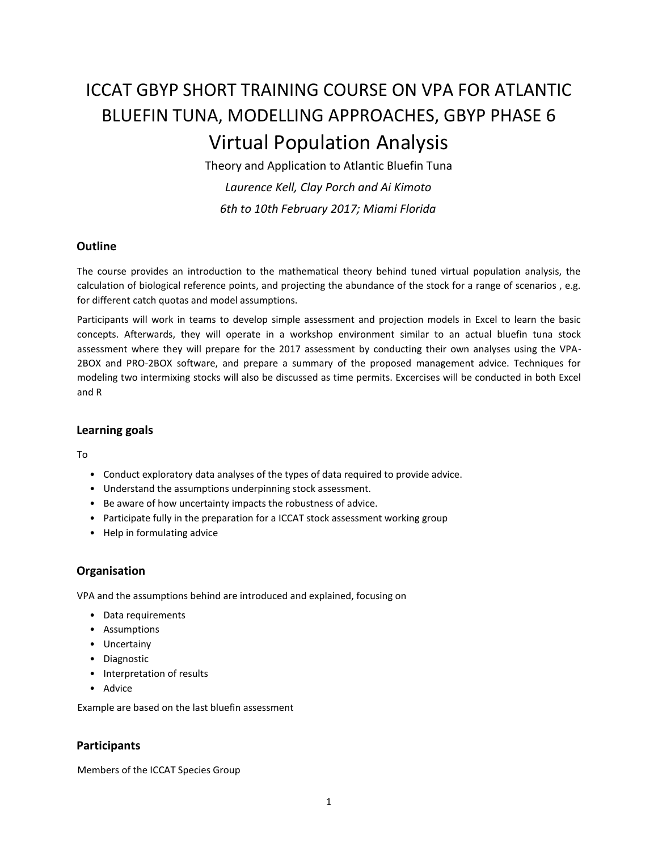# ICCAT GBYP SHORT TRAINING COURSE ON VPA FOR ATLANTIC BLUEFIN TUNA, MODELLING APPROACHES, GBYP PHASE 6 Virtual Population Analysis

Theory and Application to Atlantic Bluefin Tuna *Laurence Kell, Clay Porch and Ai Kimoto 6th to 10th February 2017; Miami Florida*

### **Outline**

The course provides an introduction to the mathematical theory behind tuned virtual population analysis, the calculation of biological reference points, and projecting the abundance of the stock for a range of scenarios , e.g. for different catch quotas and model assumptions.

Participants will work in teams to develop simple assessment and projection models in Excel to learn the basic concepts. Afterwards, they will operate in a workshop environment similar to an actual bluefin tuna stock assessment where they will prepare for the 2017 assessment by conducting their own analyses using the VPA-2BOX and PRO-2BOX software, and prepare a summary of the proposed management advice. Techniques for modeling two intermixing stocks will also be discussed as time permits. Excercises will be conducted in both Excel and R

#### **Learning goals**

To

- Conduct exploratory data analyses of the types of data required to provide advice.
- Understand the assumptions underpinning stock assessment.
- Be aware of how uncertainty impacts the robustness of advice.
- Participate fully in the preparation for a ICCAT stock assessment working group
- Help in formulating advice

## **Organisation**

VPA and the assumptions behind are introduced and explained, focusing on

- Data requirements
- Assumptions
- Uncertainy
- Diagnostic
- Interpretation of results
- Advice

Example are based on the last bluefin assessment

### **Participants**

Members of the ICCAT Species Group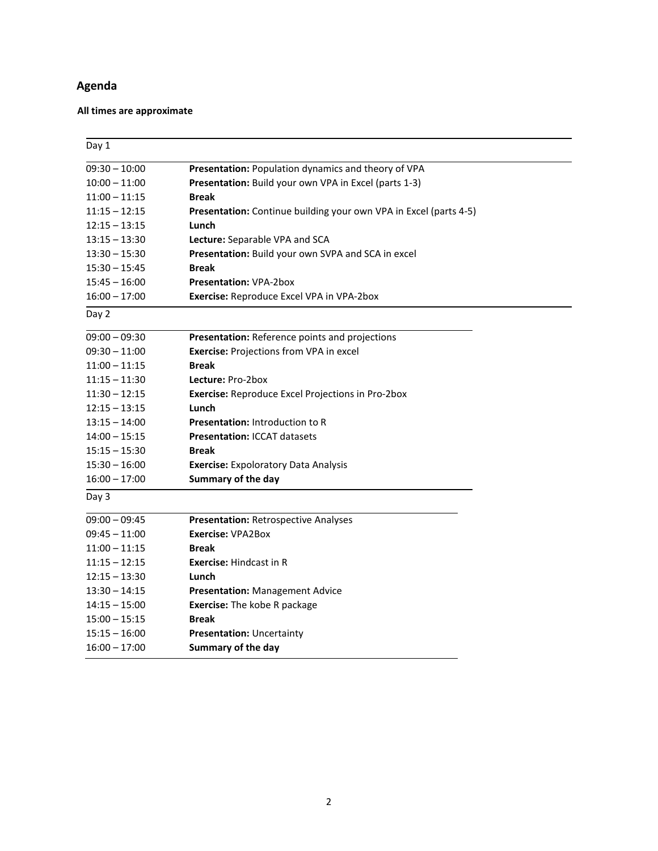# **Agenda**

# **All times are approximate**

| Day 1           |                                                                                                              |  |
|-----------------|--------------------------------------------------------------------------------------------------------------|--|
| $09:30 - 10:00$ |                                                                                                              |  |
| $10:00 - 11:00$ | Presentation: Population dynamics and theory of VPA<br>Presentation: Build your own VPA in Excel (parts 1-3) |  |
| $11:00 - 11:15$ | <b>Break</b>                                                                                                 |  |
| $11:15 - 12:15$ | Presentation: Continue building your own VPA in Excel (parts 4-5)                                            |  |
| $12:15 - 13:15$ | Lunch                                                                                                        |  |
| $13:15 - 13:30$ | Lecture: Separable VPA and SCA                                                                               |  |
| $13:30 - 15:30$ | Presentation: Build your own SVPA and SCA in excel                                                           |  |
| $15:30 - 15:45$ | <b>Break</b>                                                                                                 |  |
| $15:45 - 16:00$ | <b>Presentation: VPA-2box</b>                                                                                |  |
| $16:00 - 17:00$ | Exercise: Reproduce Excel VPA in VPA-2box                                                                    |  |
| Day 2           |                                                                                                              |  |
| $09:00 - 09:30$ | Presentation: Reference points and projections                                                               |  |
| $09:30 - 11:00$ | <b>Exercise: Projections from VPA in excel</b>                                                               |  |
| $11:00 - 11:15$ | <b>Break</b>                                                                                                 |  |
| $11:15 - 11:30$ | Lecture: Pro-2box                                                                                            |  |
| $11:30 - 12:15$ | Exercise: Reproduce Excel Projections in Pro-2box                                                            |  |
| 12:15 – 13:15   | Lunch                                                                                                        |  |
| $13:15 - 14:00$ | <b>Presentation: Introduction to R</b>                                                                       |  |
| $14:00 - 15:15$ | <b>Presentation: ICCAT datasets</b>                                                                          |  |
| $15:15 - 15:30$ | <b>Break</b>                                                                                                 |  |
| $15:30 - 16:00$ | <b>Exercise: Expoloratory Data Analysis</b>                                                                  |  |
| $16:00 - 17:00$ | Summary of the day                                                                                           |  |
| Day 3           |                                                                                                              |  |
| $09:00 - 09:45$ | <b>Presentation: Retrospective Analyses</b>                                                                  |  |
| $09:45 - 11:00$ | <b>Exercise: VPA2Box</b>                                                                                     |  |
| $11:00 - 11:15$ | <b>Break</b>                                                                                                 |  |
| $11:15 - 12:15$ | <b>Exercise: Hindcast in R</b>                                                                               |  |
| $12:15 - 13:30$ | Lunch                                                                                                        |  |
| $13:30 - 14:15$ | <b>Presentation: Management Advice</b>                                                                       |  |
| $14:15 - 15:00$ | <b>Exercise:</b> The kobe R package                                                                          |  |
| $15:00 - 15:15$ | <b>Break</b>                                                                                                 |  |
| $15:15 - 16:00$ | Presentation: Uncertainty                                                                                    |  |
| $16:00 - 17:00$ | Summary of the day                                                                                           |  |